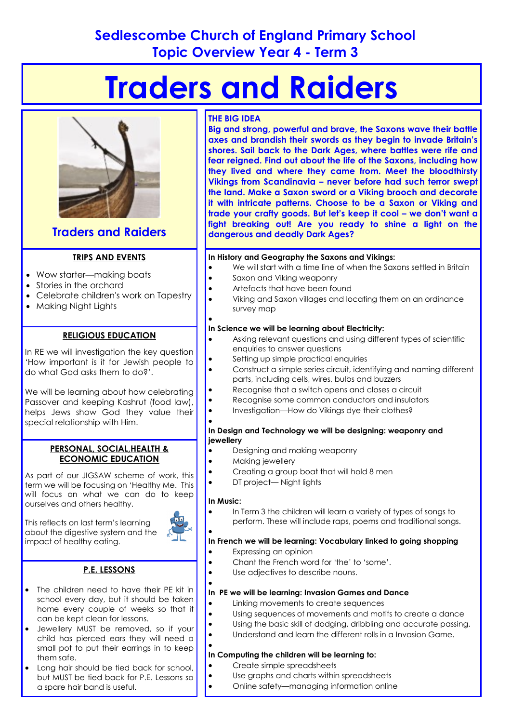# **Sedlescombe Church of England Primary School Topic Overview Year 4 - Term 3**

# **Traders and Raiders**



## **Traders and Raiders**

#### **TRIPS AND EVENTS**

- Wow starter—making boats
- Stories in the orchard
- Celebrate children's work on Tapestry
- Makina Night Lights

#### **RELIGIOUS EDUCATION**

In RE we will investigation the key question 'How important is it for Jewish people to do what God asks them to do?'.

We will be learning about how celebrating Passover and keeping Kashrut (food law), helps Jews show God they value their special relationship with Him.

#### **PERSONAL, SOCIAL,HEALTH & ECONOMIC EDUCATION**

As part of our JIGSAW scheme of work, this term we will be focusing on 'Healthy Me. This will focus on what we can do to keep ourselves and others healthy.

This reflects on last term's learning about the digestive system and the

impact of healthy eating.

- **P.E. LESSONS**
- The children need to have their PE kit in school every day, but it should be taken home every couple of weeks so that it can be kept clean for lessons.
- Jewellery MUST be removed, so if your child has pierced ears they will need a small pot to put their earrings in to keep them safe.
- Long hair should be tied back for school, but MUST be tied back for P.E. Lessons so a spare hair band is useful.

#### **THE BIG IDEA**

**Big and strong, powerful and brave, the Saxons wave their battle axes and brandish their swords as they begin to invade Britain's shores. Sail back to the Dark Ages, where battles were rife and fear reigned. Find out about the life of the Saxons, including how they lived and where they came from. Meet the bloodthirsty Vikings from Scandinavia – never before had such terror swept the land. Make a Saxon sword or a Viking brooch and decorate it with intricate patterns. Choose to be a Saxon or Viking and trade your crafty goods. But let's keep it cool – we don't want a fight breaking out! Are you ready to shine a light on the dangerous and deadly Dark Ages?** 

#### **In History and Geography the Saxons and Vikings:**

- We will start with a time line of when the Saxons settled in Britain
- Saxon and Viking weaponry
- Artefacts that have been found
	- Viking and Saxon villages and locating them on an ordinance survey map

#### $\bullet$ **In Science we will be learning about Electricity:**

- Asking relevant questions and using different types of scientific enquiries to answer questions
- Setting up simple practical enquiries
- Construct a simple series circuit, identifying and naming different parts, including cells, wires, bulbs and buzzers
	- Recognise that a switch opens and closes a circuit
	- Recognise some common conductors and insulators
- Investigation—How do Vikings dye their clothes?

#### $\bullet$ **In Design and Technology we will be designing: weaponry and jewellery**

- Designing and making weaponry
- Making jewellery
- Creating a group boat that will hold 8 men
	- DT project— Night lights

#### **In Music:**

 In Term 3 the children will learn a variety of types of songs to perform. These will include raps, poems and traditional songs.

#### $\bullet$ **In French we will be learning: Vocabulary linked to going shopping**

- Expressing an opinion
- Chant the French word for 'the' to 'some'.
- Use adjectives to describe nouns.

#### $\bullet$ **In PE we will be learning: Invasion Games and Dance**

- Linking movements to create sequences
- Using sequences of movements and motifs to create a dance
	- Using the basic skill of dodging, dribbling and accurate passing.
	- Understand and learn the different rolls in a Invasion Game.

#### $\bullet$ **In Computing the children will be learning to:**

Create simple spreadsheets

#### Use graphs and charts within spreadsheets

Online safety—managing information online